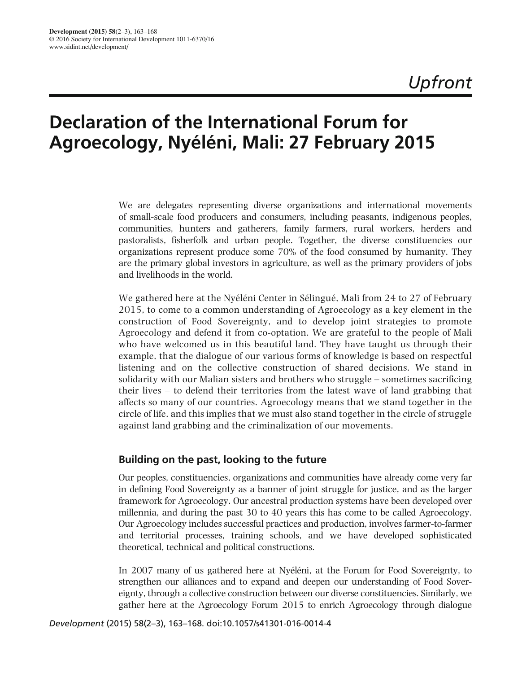# Declaration of the International Forum for Agroecology, Nyéléni, Mali: 27 February 2015

We are delegates representing diverse organizations and international movements of small-scale food producers and consumers, including peasants, indigenous peoples, communities, hunters and gatherers, family farmers, rural workers, herders and pastoralists, fisherfolk and urban people. Together, the diverse constituencies our organizations represent produce some 70% of the food consumed by humanity. They are the primary global investors in agriculture, as well as the primary providers of jobs and livelihoods in the world.

We gathered here at the Nyéléni Center in Sélingué, Mali from 24 to 27 of February 2015, to come to a common understanding of Agroecology as a key element in the construction of Food Sovereignty, and to develop joint strategies to promote Agroecology and defend it from co-optation. We are grateful to the people of Mali who have welcomed us in this beautiful land. They have taught us through their example, that the dialogue of our various forms of knowledge is based on respectful listening and on the collective construction of shared decisions. We stand in solidarity with our Malian sisters and brothers who struggle – sometimes sacrificing their lives – to defend their territories from the latest wave of land grabbing that affects so many of our countries. Agroecology means that we stand together in the circle of life, and this implies that we must also stand together in the circle of struggle against land grabbing and the criminalization of our movements.

## Building on the past, looking to the future

Our peoples, constituencies, organizations and communities have already come very far in defining Food Sovereignty as a banner of joint struggle for justice, and as the larger framework for Agroecology. Our ancestral production systems have been developed over millennia, and during the past 30 to 40 years this has come to be called Agroecology. Our Agroecology includes successful practices and production, involves farmer-to-farmer and territorial processes, training schools, and we have developed sophisticated theoretical, technical and political constructions.

In 2007 many of us gathered here at Nyéléni, at the Forum for Food Sovereignty, to strengthen our alliances and to expand and deepen our understanding of Food Sovereignty, through a collective construction between our diverse constituencies. Similarly, we gather here at the Agroecology Forum 2015 to enrich Agroecology through dialogue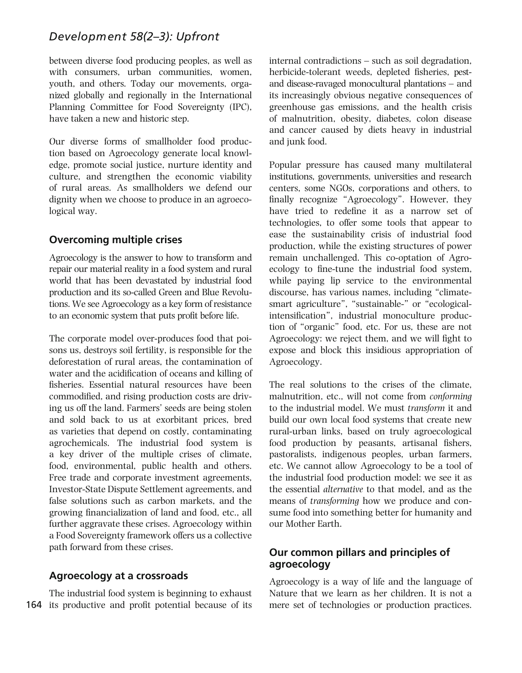# *Development 58(2–3): Upfront*

between diverse food producing peoples, as well as with consumers, urban communities, women, youth, and others. Today our movements, organized globally and regionally in the International Planning Committee for Food Sovereignty (IPC), have taken a new and historic step.

Our diverse forms of smallholder food production based on Agroecology generate local knowledge, promote social justice, nurture identity and culture, and strengthen the economic viability of rural areas. As smallholders we defend our dignity when we choose to produce in an agroecological way.

## Overcoming multiple crises

Agroecology is the answer to how to transform and repair our material reality in a food system and rural world that has been devastated by industrial food production and its so-called Green and Blue Revolutions. We see Agroecology as a key form of resistance to an economic system that puts profit before life.

The corporate model over-produces food that poisons us, destroys soil fertility, is responsible for the deforestation of rural areas, the contamination of water and the acidification of oceans and killing of fisheries. Essential natural resources have been commodified, and rising production costs are driving us off the land. Farmers' seeds are being stolen and sold back to us at exorbitant prices, bred as varieties that depend on costly, contaminating agrochemicals. The industrial food system is a key driver of the multiple crises of climate, food, environmental, public health and others. Free trade and corporate investment agreements, Investor-State Dispute Settlement agreements, and false solutions such as carbon markets, and the growing financialization of land and food, etc., all further aggravate these crises. Agroecology within a Food Sovereignty framework offers us a collective path forward from these crises.

## Agroecology at a crossroads

164 its productive and profit potential because of its The industrial food system is beginning to exhaust internal contradictions – such as soil degradation, herbicide-tolerant weeds, depleted fisheries, pestand disease-ravaged monocultural plantations – and its increasingly obvious negative consequences of greenhouse gas emissions, and the health crisis of malnutrition, obesity, diabetes, colon disease and cancer caused by diets heavy in industrial and junk food.

Popular pressure has caused many multilateral institutions, governments, universities and research centers, some NGOs, corporations and others, to finally recognize "Agroecology". However, they have tried to redefine it as a narrow set of technologies, to offer some tools that appear to ease the sustainability crisis of industrial food production, while the existing structures of power remain unchallenged. This co-optation of Agroecology to fine-tune the industrial food system, while paying lip service to the environmental discourse, has various names, including "climatesmart agriculture", "sustainable-" or "ecologicalintensification", industrial monoculture production of "organic" food, etc. For us, these are not Agroecology: we reject them, and we will fight to expose and block this insidious appropriation of Agroecology.

The real solutions to the crises of the climate, malnutrition, etc., will not come from conforming to the industrial model. We must transform it and build our own local food systems that create new rural-urban links, based on truly agroecological food production by peasants, artisanal fishers, pastoralists, indigenous peoples, urban farmers, etc. We cannot allow Agroecology to be a tool of the industrial food production model: we see it as the essential alternative to that model, and as the means of transforming how we produce and consume food into something better for humanity and our Mother Earth.

# Our common pillars and principles of agroecology

Agroecology is a way of life and the language of Nature that we learn as her children. It is not a mere set of technologies or production practices.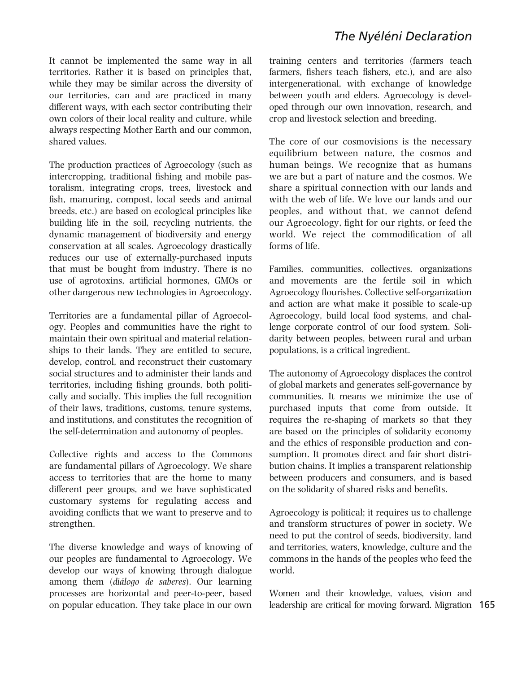# The Nyéléni Declaration

It cannot be implemented the same way in all territories. Rather it is based on principles that, while they may be similar across the diversity of our territories, can and are practiced in many different ways, with each sector contributing their own colors of their local reality and culture, while always respecting Mother Earth and our common, shared values.

The production practices of Agroecology (such as intercropping, traditional fishing and mobile pastoralism, integrating crops, trees, livestock and fish, manuring, compost, local seeds and animal breeds, etc.) are based on ecological principles like building life in the soil, recycling nutrients, the dynamic management of biodiversity and energy conservation at all scales. Agroecology drastically reduces our use of externally-purchased inputs that must be bought from industry. There is no use of agrotoxins, artificial hormones, GMOs or other dangerous new technologies in Agroecology.

Territories are a fundamental pillar of Agroecology. Peoples and communities have the right to maintain their own spiritual and material relationships to their lands. They are entitled to secure, develop, control, and reconstruct their customary social structures and to administer their lands and territories, including fishing grounds, both politically and socially. This implies the full recognition of their laws, traditions, customs, tenure systems, and institutions, and constitutes the recognition of the self-determination and autonomy of peoples.

Collective rights and access to the Commons are fundamental pillars of Agroecology. We share access to territories that are the home to many different peer groups, and we have sophisticated customary systems for regulating access and avoiding conflicts that we want to preserve and to strengthen.

The diverse knowledge and ways of knowing of our peoples are fundamental to Agroecology. We develop our ways of knowing through dialogue among them (diálogo de saberes). Our learning processes are horizontal and peer-to-peer, based on popular education. They take place in our own training centers and territories (farmers teach farmers, fishers teach fishers, etc.), and are also intergenerational, with exchange of knowledge between youth and elders. Agroecology is developed through our own innovation, research, and crop and livestock selection and breeding.

The core of our cosmovisions is the necessary equilibrium between nature, the cosmos and human beings. We recognize that as humans we are but a part of nature and the cosmos. We share a spiritual connection with our lands and with the web of life. We love our lands and our peoples, and without that, we cannot defend our Agroecology, fight for our rights, or feed the world. We reject the commodification of all forms of life.

Families, communities, collectives, organizations and movements are the fertile soil in which Agroecology flourishes. Collective self-organization and action are what make it possible to scale-up Agroecology, build local food systems, and challenge corporate control of our food system. Solidarity between peoples, between rural and urban populations, is a critical ingredient.

The autonomy of Agroecology displaces the control of global markets and generates self-governance by communities. It means we minimize the use of purchased inputs that come from outside. It requires the re-shaping of markets so that they are based on the principles of solidarity economy and the ethics of responsible production and consumption. It promotes direct and fair short distribution chains. It implies a transparent relationship between producers and consumers, and is based on the solidarity of shared risks and benefits.

Agroecology is political; it requires us to challenge and transform structures of power in society. We need to put the control of seeds, biodiversity, land and territories, waters, knowledge, culture and the commons in the hands of the peoples who feed the world.

leadership are critical for moving forward. Migration 165 Women and their knowledge, values, vision and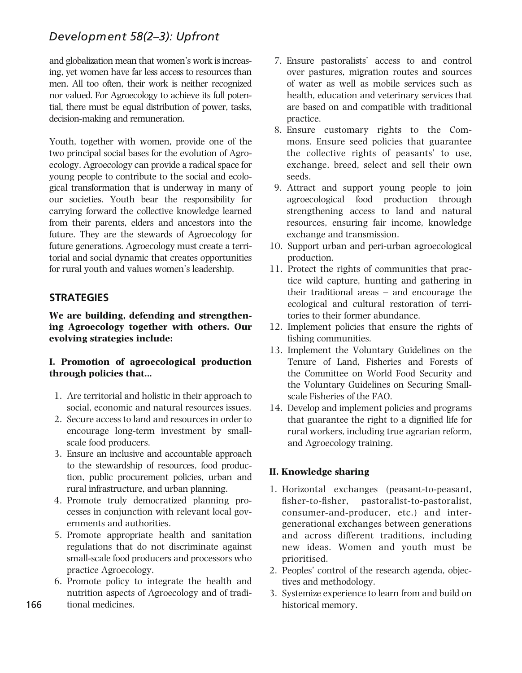# *Development 58(2–3): Upfront*

and globalization mean that women's work is increasing, yet women have far less access to resources than men. All too often, their work is neither recognized nor valued. For Agroecology to achieve its full potential, there must be equal distribution of power, tasks, decision-making and remuneration.

Youth, together with women, provide one of the two principal social bases for the evolution of Agroecology. Agroecology can provide a radical space for young people to contribute to the social and ecological transformation that is underway in many of our societies. Youth bear the responsibility for carrying forward the collective knowledge learned from their parents, elders and ancestors into the future. They are the stewards of Agroecology for future generations. Agroecology must create a territorial and social dynamic that creates opportunities for rural youth and values women's leadership.

# **STRATEGIES**

We are building, defending and strengthening Agroecology together with others. Our evolving strategies include:

#### I. Promotion of agroecological production through policies that…

- 1. Are territorial and holistic in their approach to social, economic and natural resources issues.
- 2. Secure access to land and resources in order to encourage long-term investment by smallscale food producers.
- 3. Ensure an inclusive and accountable approach to the stewardship of resources, food production, public procurement policies, urban and rural infrastructure, and urban planning.
- 4. Promote truly democratized planning processes in conjunction with relevant local governments and authorities.
- 5. Promote appropriate health and sanitation regulations that do not discriminate against small-scale food producers and processors who practice Agroecology.
- 6. Promote policy to integrate the health and nutrition aspects of Agroecology and of traditional medicines.
- 7. Ensure pastoralists' access to and control over pastures, migration routes and sources of water as well as mobile services such as health, education and veterinary services that are based on and compatible with traditional practice.
- 8. Ensure customary rights to the Commons. Ensure seed policies that guarantee the collective rights of peasants' to use, exchange, breed, select and sell their own seeds.
- 9. Attract and support young people to join agroecological food production through strengthening access to land and natural resources, ensuring fair income, knowledge exchange and transmission.
- 10. Support urban and peri-urban agroecological production.
- 11. Protect the rights of communities that practice wild capture, hunting and gathering in their traditional areas – and encourage the ecological and cultural restoration of territories to their former abundance.
- 12. Implement policies that ensure the rights of fishing communities.
- 13. Implement the Voluntary Guidelines on the Tenure of Land, Fisheries and Forests of the Committee on World Food Security and the Voluntary Guidelines on Securing Smallscale Fisheries of the FAO.
- 14. Develop and implement policies and programs that guarantee the right to a dignified life for rural workers, including true agrarian reform, and Agroecology training.

#### II. Knowledge sharing

- 1. Horizontal exchanges (peasant-to-peasant, fisher-to-fisher, pastoralist-to-pastoralist, consumer-and-producer, etc.) and intergenerational exchanges between generations and across different traditions, including new ideas. Women and youth must be prioritised.
- 2. Peoples' control of the research agenda, objectives and methodology.
- 3. Systemize experience to learn from and build on historical memory.

166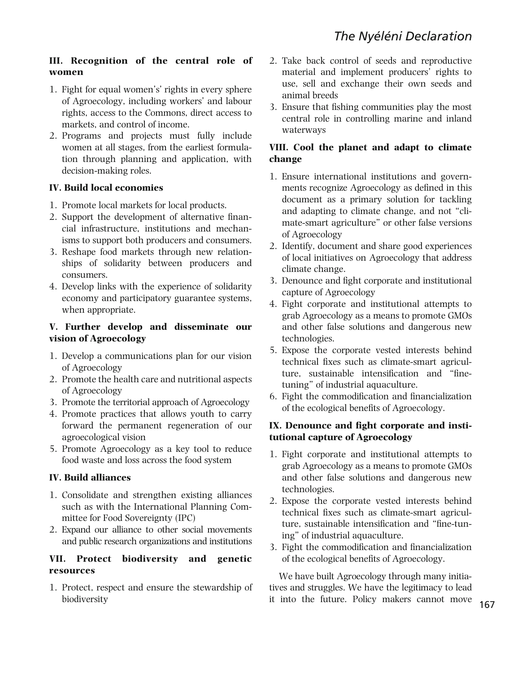## III. Recognition of the central role of women

- 1. Fight for equal women's' rights in every sphere of Agroecology, including workers' and labour rights, access to the Commons, direct access to markets, and control of income.
- 2. Programs and projects must fully include women at all stages, from the earliest formulation through planning and application, with decision-making roles.

#### IV. Build local economies

- 1. Promote local markets for local products.
- 2. Support the development of alternative financial infrastructure, institutions and mechanisms to support both producers and consumers.
- 3. Reshape food markets through new relationships of solidarity between producers and consumers.
- 4. Develop links with the experience of solidarity economy and participatory guarantee systems, when appropriate.

#### V. Further develop and disseminate our vision of Agroecology

- 1. Develop a communications plan for our vision of Agroecology
- 2. Promote the health care and nutritional aspects of Agroecology
- 3. Promote the territorial approach of Agroecology
- 4. Promote practices that allows youth to carry forward the permanent regeneration of our agroecological vision
- 5. Promote Agroecology as a key tool to reduce food waste and loss across the food system

## IV. Build alliances

- 1. Consolidate and strengthen existing alliances such as with the International Planning Committee for Food Sovereignty (IPC)
- 2. Expand our alliance to other social movements and public research organizations and institutions

#### VII. Protect biodiversity and genetic resources

1. Protect, respect and ensure the stewardship of biodiversity

- 2. Take back control of seeds and reproductive material and implement producers' rights to use, sell and exchange their own seeds and animal breeds
- 3. Ensure that fishing communities play the most central role in controlling marine and inland waterways

#### VIII. Cool the planet and adapt to climate change

- 1. Ensure international institutions and governments recognize Agroecology as defined in this document as a primary solution for tackling and adapting to climate change, and not "climate-smart agriculture" or other false versions of Agroecology
- 2. Identify, document and share good experiences of local initiatives on Agroecology that address climate change.
- 3. Denounce and fight corporate and institutional capture of Agroecology
- 4. Fight corporate and institutional attempts to grab Agroecology as a means to promote GMOs and other false solutions and dangerous new technologies.
- 5. Expose the corporate vested interests behind technical fixes such as climate-smart agriculture, sustainable intensification and "finetuning" of industrial aquaculture.
- 6. Fight the commodification and financialization of the ecological benefits of Agroecology.

#### IX. Denounce and fight corporate and institutional capture of Agroecology

- 1. Fight corporate and institutional attempts to grab Agroecology as a means to promote GMOs and other false solutions and dangerous new technologies.
- 2. Expose the corporate vested interests behind technical fixes such as climate-smart agriculture, sustainable intensification and "fine-tuning" of industrial aquaculture.
- 3. Fight the commodification and financialization of the ecological benefits of Agroecology.

We have built Agroecology through many initiatives and struggles. We have the legitimacy to lead it into the future. Policy makers cannot move